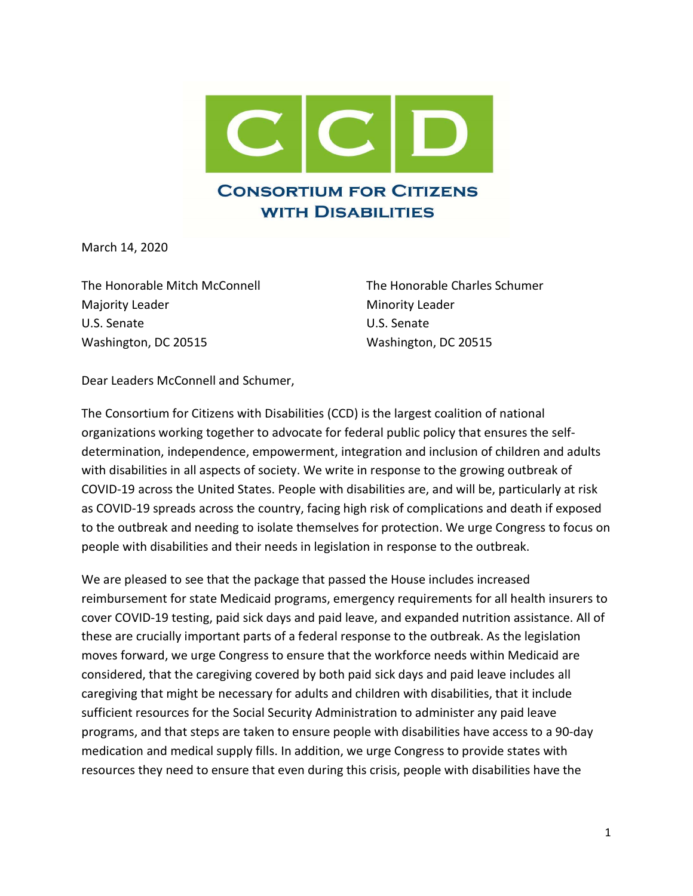

March 14, 2020

The Honorable Mitch McConnell The Honorable Charles Schumer Majority Leader **Minority Leader** Minority Leader U.S. Senate U.S. Senate Washington, DC 20515 Washington, DC 20515

Dear Leaders McConnell and Schumer,

The Consortium for Citizens with Disabilities (CCD) is the largest coalition of national organizations working together to advocate for federal public policy that ensures the selfdetermination, independence, empowerment, integration and inclusion of children and adults with disabilities in all aspects of society. We write in response to the growing outbreak of COVID-19 across the United States. People with disabilities are, and will be, particularly at risk as COVID-19 spreads across the country, facing high risk of complications and death if exposed to the outbreak and needing to isolate themselves for protection. We urge Congress to focus on people with disabilities and their needs in legislation in response to the outbreak.

We are pleased to see that the package that passed the House includes increased reimbursement for state Medicaid programs, emergency requirements for all health insurers to cover COVID-19 testing, paid sick days and paid leave, and expanded nutrition assistance. All of these are crucially important parts of a federal response to the outbreak. As the legislation moves forward, we urge Congress to ensure that the workforce needs within Medicaid are considered, that the caregiving covered by both paid sick days and paid leave includes all caregiving that might be necessary for adults and children with disabilities, that it include sufficient resources for the Social Security Administration to administer any paid leave programs, and that steps are taken to ensure people with disabilities have access to a 90-day medication and medical supply fills. In addition, we urge Congress to provide states with resources they need to ensure that even during this crisis, people with disabilities have the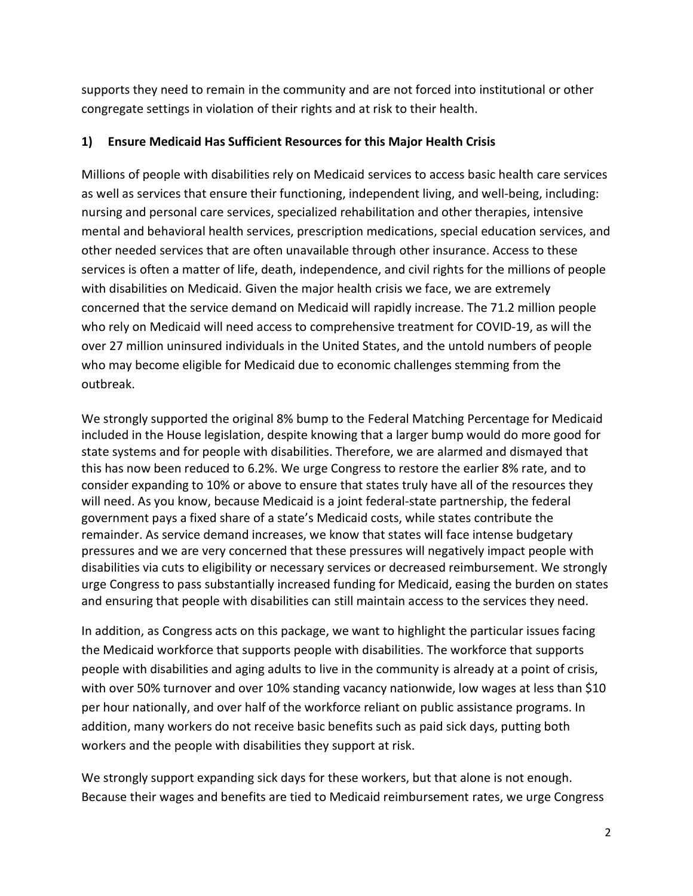supports they need to remain in the community and are not forced into institutional or other congregate settings in violation of their rights and at risk to their health.

#### 1) Ensure Medicaid Has Sufficient Resources for this Major Health Crisis

Millions of people with disabilities rely on Medicaid services to access basic health care services as well as services that ensure their functioning, independent living, and well-being, including: nursing and personal care services, specialized rehabilitation and other therapies, intensive mental and behavioral health services, prescription medications, special education services, and other needed services that are often unavailable through other insurance. Access to these services is often a matter of life, death, independence, and civil rights for the millions of people with disabilities on Medicaid. Given the major health crisis we face, we are extremely concerned that the service demand on Medicaid will rapidly increase. The 71.2 million people who rely on Medicaid will need access to comprehensive treatment for COVID-19, as will the over 27 million uninsured individuals in the United States, and the untold numbers of people who may become eligible for Medicaid due to economic challenges stemming from the outbreak.

We strongly supported the original 8% bump to the Federal Matching Percentage for Medicaid included in the House legislation, despite knowing that a larger bump would do more good for state systems and for people with disabilities. Therefore, we are alarmed and dismayed that this has now been reduced to 6.2%. We urge Congress to restore the earlier 8% rate, and to consider expanding to 10% or above to ensure that states truly have all of the resources they will need. As you know, because Medicaid is a joint federal-state partnership, the federal government pays a fixed share of a state's Medicaid costs, while states contribute the remainder. As service demand increases, we know that states will face intense budgetary pressures and we are very concerned that these pressures will negatively impact people with disabilities via cuts to eligibility or necessary services or decreased reimbursement. We strongly urge Congress to pass substantially increased funding for Medicaid, easing the burden on states and ensuring that people with disabilities can still maintain access to the services they need.

In addition, as Congress acts on this package, we want to highlight the particular issues facing the Medicaid workforce that supports people with disabilities. The workforce that supports people with disabilities and aging adults to live in the community is already at a point of crisis, with over 50% turnover and over 10% standing vacancy nationwide, low wages at less than \$10 per hour nationally, and over half of the workforce reliant on public assistance programs. In addition, many workers do not receive basic benefits such as paid sick days, putting both workers and the people with disabilities they support at risk.

We strongly support expanding sick days for these workers, but that alone is not enough. Because their wages and benefits are tied to Medicaid reimbursement rates, we urge Congress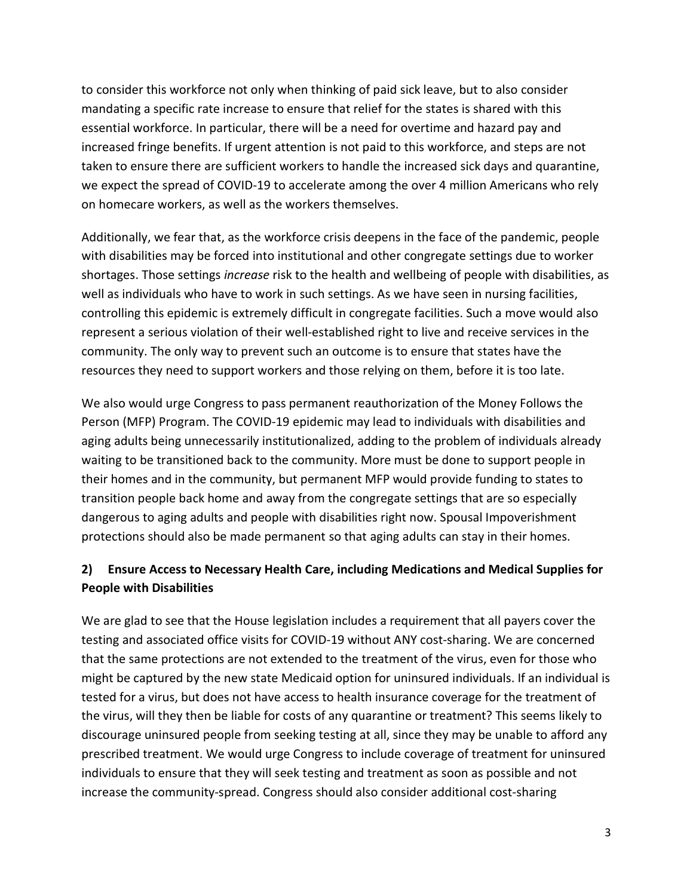to consider this workforce not only when thinking of paid sick leave, but to also consider mandating a specific rate increase to ensure that relief for the states is shared with this essential workforce. In particular, there will be a need for overtime and hazard pay and increased fringe benefits. If urgent attention is not paid to this workforce, and steps are not taken to ensure there are sufficient workers to handle the increased sick days and quarantine, we expect the spread of COVID-19 to accelerate among the over 4 million Americans who rely on homecare workers, as well as the workers themselves.

Additionally, we fear that, as the workforce crisis deepens in the face of the pandemic, people with disabilities may be forced into institutional and other congregate settings due to worker shortages. Those settings increase risk to the health and wellbeing of people with disabilities, as well as individuals who have to work in such settings. As we have seen in nursing facilities, controlling this epidemic is extremely difficult in congregate facilities. Such a move would also represent a serious violation of their well-established right to live and receive services in the community. The only way to prevent such an outcome is to ensure that states have the resources they need to support workers and those relying on them, before it is too late.

We also would urge Congress to pass permanent reauthorization of the Money Follows the Person (MFP) Program. The COVID-19 epidemic may lead to individuals with disabilities and aging adults being unnecessarily institutionalized, adding to the problem of individuals already waiting to be transitioned back to the community. More must be done to support people in their homes and in the community, but permanent MFP would provide funding to states to transition people back home and away from the congregate settings that are so especially dangerous to aging adults and people with disabilities right now. Spousal Impoverishment protections should also be made permanent so that aging adults can stay in their homes.

## 2) Ensure Access to Necessary Health Care, including Medications and Medical Supplies for People with Disabilities

We are glad to see that the House legislation includes a requirement that all payers cover the testing and associated office visits for COVID-19 without ANY cost-sharing. We are concerned that the same protections are not extended to the treatment of the virus, even for those who might be captured by the new state Medicaid option for uninsured individuals. If an individual is tested for a virus, but does not have access to health insurance coverage for the treatment of the virus, will they then be liable for costs of any quarantine or treatment? This seems likely to discourage uninsured people from seeking testing at all, since they may be unable to afford any prescribed treatment. We would urge Congress to include coverage of treatment for uninsured individuals to ensure that they will seek testing and treatment as soon as possible and not increase the community-spread. Congress should also consider additional cost-sharing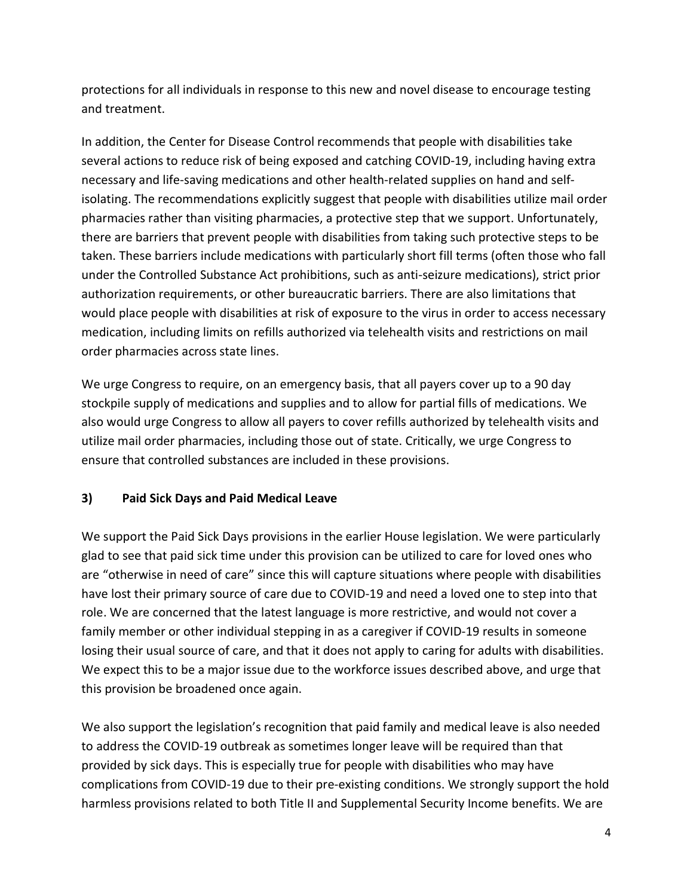protections for all individuals in response to this new and novel disease to encourage testing and treatment.

In addition, the Center for Disease Control recommends that people with disabilities take several actions to reduce risk of being exposed and catching COVID-19, including having extra necessary and life-saving medications and other health-related supplies on hand and selfisolating. The recommendations explicitly suggest that people with disabilities utilize mail order pharmacies rather than visiting pharmacies, a protective step that we support. Unfortunately, there are barriers that prevent people with disabilities from taking such protective steps to be taken. These barriers include medications with particularly short fill terms (often those who fall under the Controlled Substance Act prohibitions, such as anti-seizure medications), strict prior authorization requirements, or other bureaucratic barriers. There are also limitations that would place people with disabilities at risk of exposure to the virus in order to access necessary medication, including limits on refills authorized via telehealth visits and restrictions on mail order pharmacies across state lines.

We urge Congress to require, on an emergency basis, that all payers cover up to a 90 day stockpile supply of medications and supplies and to allow for partial fills of medications. We also would urge Congress to allow all payers to cover refills authorized by telehealth visits and utilize mail order pharmacies, including those out of state. Critically, we urge Congress to ensure that controlled substances are included in these provisions.

### 3) Paid Sick Days and Paid Medical Leave

We support the Paid Sick Days provisions in the earlier House legislation. We were particularly glad to see that paid sick time under this provision can be utilized to care for loved ones who are "otherwise in need of care" since this will capture situations where people with disabilities have lost their primary source of care due to COVID-19 and need a loved one to step into that role. We are concerned that the latest language is more restrictive, and would not cover a family member or other individual stepping in as a caregiver if COVID-19 results in someone losing their usual source of care, and that it does not apply to caring for adults with disabilities. We expect this to be a major issue due to the workforce issues described above, and urge that this provision be broadened once again.

We also support the legislation's recognition that paid family and medical leave is also needed to address the COVID-19 outbreak as sometimes longer leave will be required than that provided by sick days. This is especially true for people with disabilities who may have complications from COVID-19 due to their pre-existing conditions. We strongly support the hold harmless provisions related to both Title II and Supplemental Security Income benefits. We are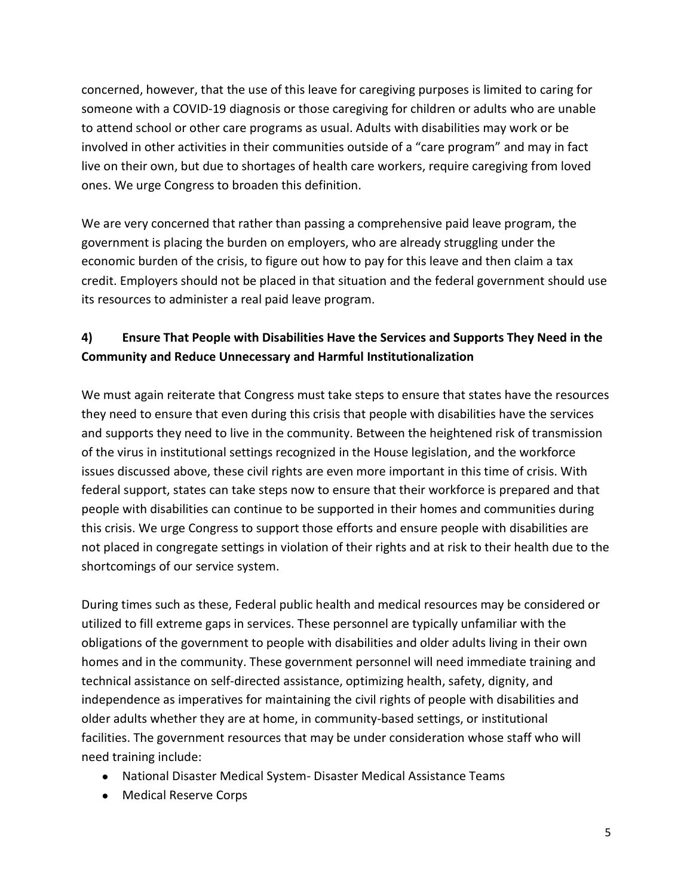concerned, however, that the use of this leave for caregiving purposes is limited to caring for someone with a COVID-19 diagnosis or those caregiving for children or adults who are unable to attend school or other care programs as usual. Adults with disabilities may work or be involved in other activities in their communities outside of a "care program" and may in fact live on their own, but due to shortages of health care workers, require caregiving from loved ones. We urge Congress to broaden this definition.

We are very concerned that rather than passing a comprehensive paid leave program, the government is placing the burden on employers, who are already struggling under the economic burden of the crisis, to figure out how to pay for this leave and then claim a tax credit. Employers should not be placed in that situation and the federal government should use its resources to administer a real paid leave program.

# 4) Ensure That People with Disabilities Have the Services and Supports They Need in the Community and Reduce Unnecessary and Harmful Institutionalization

We must again reiterate that Congress must take steps to ensure that states have the resources they need to ensure that even during this crisis that people with disabilities have the services and supports they need to live in the community. Between the heightened risk of transmission of the virus in institutional settings recognized in the House legislation, and the workforce issues discussed above, these civil rights are even more important in this time of crisis. With federal support, states can take steps now to ensure that their workforce is prepared and that people with disabilities can continue to be supported in their homes and communities during this crisis. We urge Congress to support those efforts and ensure people with disabilities are not placed in congregate settings in violation of their rights and at risk to their health due to the shortcomings of our service system.

During times such as these, Federal public health and medical resources may be considered or utilized to fill extreme gaps in services. These personnel are typically unfamiliar with the obligations of the government to people with disabilities and older adults living in their own homes and in the community. These government personnel will need immediate training and technical assistance on self-directed assistance, optimizing health, safety, dignity, and independence as imperatives for maintaining the civil rights of people with disabilities and older adults whether they are at home, in community-based settings, or institutional facilities. The government resources that may be under consideration whose staff who will need training include:

- National Disaster Medical System- Disaster Medical Assistance Teams
- Medical Reserve Corps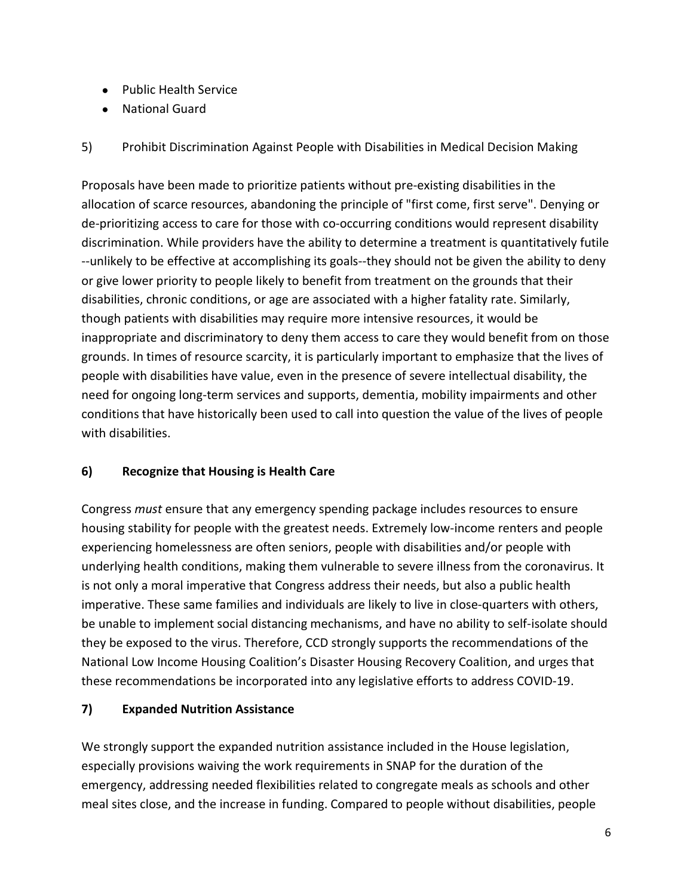- Public Health Service
- National Guard

5) Prohibit Discrimination Against People with Disabilities in Medical Decision Making

Proposals have been made to prioritize patients without pre-existing disabilities in the allocation of scarce resources, abandoning the principle of "first come, first serve". Denying or de-prioritizing access to care for those with co-occurring conditions would represent disability discrimination. While providers have the ability to determine a treatment is quantitatively futile --unlikely to be effective at accomplishing its goals--they should not be given the ability to deny or give lower priority to people likely to benefit from treatment on the grounds that their disabilities, chronic conditions, or age are associated with a higher fatality rate. Similarly, though patients with disabilities may require more intensive resources, it would be inappropriate and discriminatory to deny them access to care they would benefit from on those grounds. In times of resource scarcity, it is particularly important to emphasize that the lives of people with disabilities have value, even in the presence of severe intellectual disability, the need for ongoing long-term services and supports, dementia, mobility impairments and other conditions that have historically been used to call into question the value of the lives of people with disabilities.

### 6) Recognize that Housing is Health Care

Congress must ensure that any emergency spending package includes resources to ensure housing stability for people with the greatest needs. Extremely low-income renters and people experiencing homelessness are often seniors, people with disabilities and/or people with underlying health conditions, making them vulnerable to severe illness from the coronavirus. It is not only a moral imperative that Congress address their needs, but also a public health imperative. These same families and individuals are likely to live in close-quarters with others, be unable to implement social distancing mechanisms, and have no ability to self-isolate should they be exposed to the virus. Therefore, CCD strongly supports the recommendations of the National Low Income Housing Coalition's Disaster Housing Recovery Coalition, and urges that these recommendations be incorporated into any legislative efforts to address COVID-19.

### 7) Expanded Nutrition Assistance

We strongly support the expanded nutrition assistance included in the House legislation, especially provisions waiving the work requirements in SNAP for the duration of the emergency, addressing needed flexibilities related to congregate meals as schools and other meal sites close, and the increase in funding. Compared to people without disabilities, people